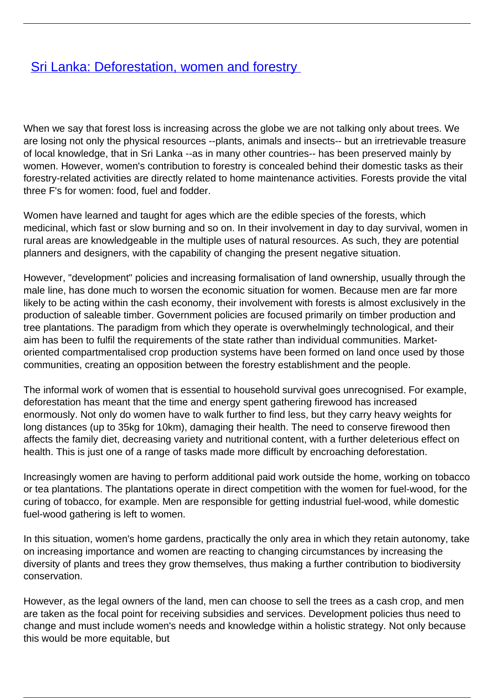## [Sri Lanka: Deforestation, women and forestry](/bulletin-articles/sri-lanka-deforestation-women-and-forestry)

When we say that forest loss is increasing across the globe we are not talking only about trees. We are losing not only the physical resources --plants, animals and insects-- but an irretrievable treasure of local knowledge, that in Sri Lanka --as in many other countries-- has been preserved mainly by women. However, women's contribution to forestry is concealed behind their domestic tasks as their forestry-related activities are directly related to home maintenance activities. Forests provide the vital three F's for women: food, fuel and fodder.

Women have learned and taught for ages which are the edible species of the forests, which medicinal, which fast or slow burning and so on. In their involvement in day to day survival, women in rural areas are knowledgeable in the multiple uses of natural resources. As such, they are potential planners and designers, with the capability of changing the present negative situation.

However, "development" policies and increasing formalisation of land ownership, usually through the male line, has done much to worsen the economic situation for women. Because men are far more likely to be acting within the cash economy, their involvement with forests is almost exclusively in the production of saleable timber. Government policies are focused primarily on timber production and tree plantations. The paradigm from which they operate is overwhelmingly technological, and their aim has been to fulfil the requirements of the state rather than individual communities. Marketoriented compartmentalised crop production systems have been formed on land once used by those communities, creating an opposition between the forestry establishment and the people.

The informal work of women that is essential to household survival goes unrecognised. For example, deforestation has meant that the time and energy spent gathering firewood has increased enormously. Not only do women have to walk further to find less, but they carry heavy weights for long distances (up to 35kg for 10km), damaging their health. The need to conserve firewood then affects the family diet, decreasing variety and nutritional content, with a further deleterious effect on health. This is just one of a range of tasks made more difficult by encroaching deforestation.

Increasingly women are having to perform additional paid work outside the home, working on tobacco or tea plantations. The plantations operate in direct competition with the women for fuel-wood, for the curing of tobacco, for example. Men are responsible for getting industrial fuel-wood, while domestic fuel-wood gathering is left to women.

In this situation, women's home gardens, practically the only area in which they retain autonomy, take on increasing importance and women are reacting to changing circumstances by increasing the diversity of plants and trees they grow themselves, thus making a further contribution to biodiversity conservation.

However, as the legal owners of the land, men can choose to sell the trees as a cash crop, and men are taken as the focal point for receiving subsidies and services. Development policies thus need to change and must include women's needs and knowledge within a holistic strategy. Not only because this would be more equitable, but